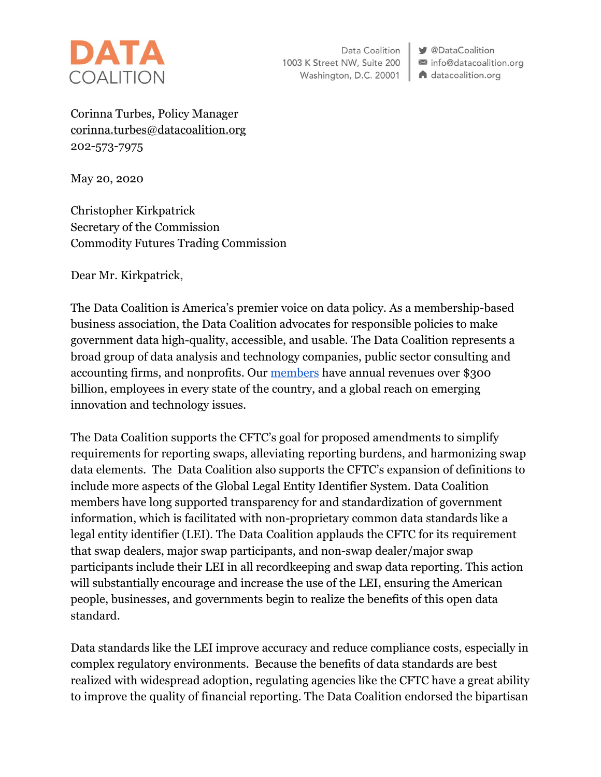

Data Coalition 1003 K Street NW, Suite 200 Washington, D.C. 20001

**V** @DataCoalition info@datacoalition.org A datacoalition.org

Corinna Turbes, Policy Manager [corinna.turbes@datacoalition.org](mailto:corinna.turbes@datacoalition.org) 202-573-7975

May 20, 2020

Christopher Kirkpatrick Secretary of the Commission Commodity Futures Trading Commission

Dear Mr. Kirkpatrick,

The Data Coalition is America's premier voice on data policy. As a membership-based business association, the Data Coalition advocates for responsible policies to make government data high-quality, accessible, and usable. The Data Coalition represents a broad group of data analysis and technology companies, public sector consulting and accounting firms, and nonprofits. Our [members](https://www.datacoalition.org/members/) have annual revenues over \$300 billion, employees in every state of the country, and a global reach on emerging innovation and technology issues.

The Data Coalition supports the CFTC's goal for proposed amendments to simplify requirements for reporting swaps, alleviating reporting burdens, and harmonizing swap data elements. The Data Coalition also supports the CFTC's expansion of definitions to include more aspects of the Global Legal Entity Identifier System. Data Coalition members have long supported transparency for and standardization of government information, which is facilitated with non-proprietary common data standards like a legal entity identifier (LEI). The Data Coalition applauds the CFTC for its requirement that swap dealers, major swap participants, and non-swap dealer/major swap participants include their LEI in all recordkeeping and swap data reporting. This action will substantially encourage and increase the use of the LEI, ensuring the American people, businesses, and governments begin to realize the benefits of this open data standard.

Data standards like the LEI improve accuracy and reduce compliance costs, especially in complex regulatory environments. Because the benefits of data standards are best realized with widespread adoption, regulating agencies like the CFTC have a great ability to improve the quality of financial reporting. The Data Coalition endorsed the bipartisan